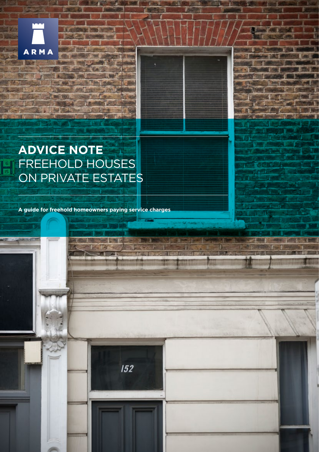

 $\frac{6}{15}$ 

# **ADVICE NOTE** FREEHOLD HOUSES ON PRIVATE ESTATES

**A guide for freehold homeowners paying service charges**

 $152$ 

TFs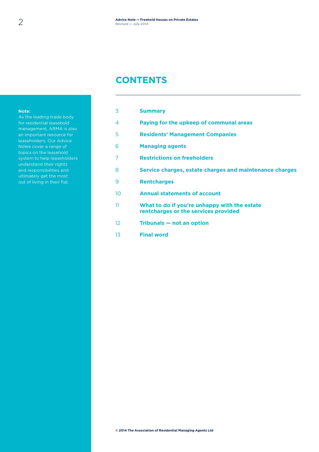### **CONTENTS**

#### **Note:**

As the leading trade body for residential leasehold management, ARMA is also an important resource for leaseholders. Our Advice Notes cover a range of topics on the leasehold system to help leaseholders understand their rights and responsibilities and ultimately get the most out of living in their flat.

| 3               | <b>Summary</b>                                                                       |
|-----------------|--------------------------------------------------------------------------------------|
| 4               | Paying for the upkeep of communal areas                                              |
| 5               | <b>Residents' Management Companies</b>                                               |
| 6               | <b>Managing agents</b>                                                               |
| 7               | <b>Restrictions on freeholders</b>                                                   |
| 8               | Service charges, estate charges and maintenance charges                              |
| 9               | <b>Rentcharges</b>                                                                   |
| 10 <sup>2</sup> | <b>Annual statements of account</b>                                                  |
| 11              | What to do if you're unhappy with the estate<br>rentcharges or the services provided |
| 12 <sup>°</sup> | Tribunals – not an option                                                            |
| 13              | <b>Final word</b>                                                                    |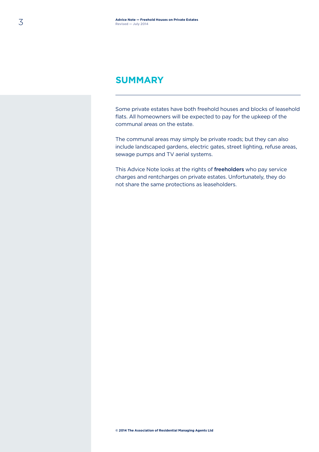### **SUMMARY**

Some private estates have both freehold houses and blocks of leasehold flats. All homeowners will be expected to pay for the upkeep of the communal areas on the estate.

The communal areas may simply be private roads; but they can also include landscaped gardens, electric gates, street lighting, refuse areas, sewage pumps and TV aerial systems.

This Advice Note looks at the rights of freeholders who pay service charges and rentcharges on private estates. Unfortunately, they do not share the same protections as leaseholders.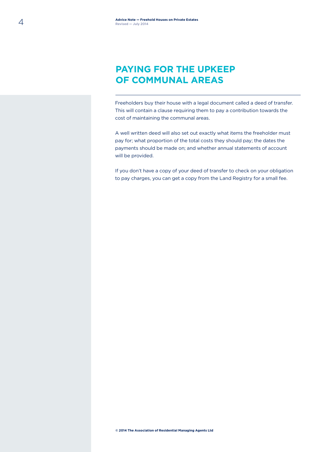# **PAYING FOR THE UPKEEP OF COMMUNAL AREAS**

Freeholders buy their house with a legal document called a deed of transfer. This will contain a clause requiring them to pay a contribution towards the cost of maintaining the communal areas.

A well written deed will also set out exactly what items the freeholder must pay for; what proportion of the total costs they should pay; the dates the payments should be made on; and whether annual statements of account will be provided.

If you don't have a copy of your deed of transfer to check on your obligation to pay charges, you can get a copy from the Land Registry for a small fee.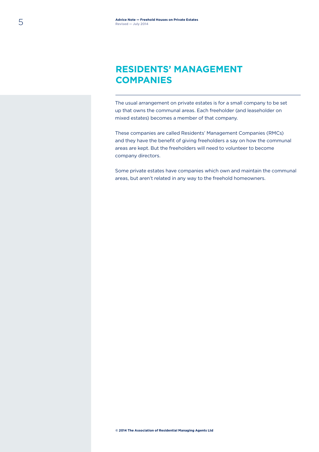# **RESIDENTS' MANAGEMENT COMPANIES**

The usual arrangement on private estates is for a small company to be set up that owns the communal areas. Each freeholder (and leaseholder on mixed estates) becomes a member of that company.

These companies are called Residents' Management Companies (RMCs) and they have the benefit of giving freeholders a say on how the communal areas are kept. But the freeholders will need to volunteer to become company directors.

Some private estates have companies which own and maintain the communal areas, but aren't related in any way to the freehold homeowners.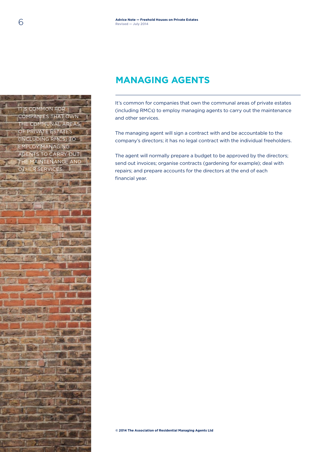### **MANAGING AGENTS**

It's common for companies that own the communal areas of private estates (including RMCs) to employ managing agents to carry out the maintenance and other services.

The managing agent will sign a contract with and be accountable to the company's directors; it has no legal contract with the individual freeholders.

The agent will normally prepare a budget to be approved by the directors; send out invoices; organise contracts (gardening for example); deal with repairs; and prepare accounts for the directors at the end of each financial year.

6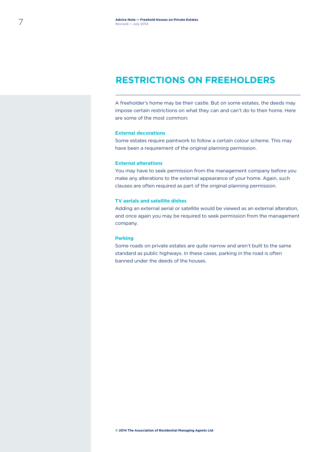### **RESTRICTIONS ON FREEHOLDERS**

A freeholder's home may be their castle. But on some estates, the deeds may impose certain restrictions on what they can and can't do to their home. Here are some of the most common:

#### **External decorations**

Some estates require paintwork to follow a certain colour scheme. This may have been a requirement of the original planning permission.

#### **External alterations**

You may have to seek permission from the management company before you make any alterations to the external appearance of your home. Again, such clauses are often required as part of the original planning permission.

#### **TV aerials and satellite dishes**

Adding an external aerial or satellite would be viewed as an external alteration, and once again you may be required to seek permission from the management company.

#### **Parking**

Some roads on private estates are quite narrow and aren't built to the same standard as public highways. In these cases, parking in the road is often banned under the deeds of the houses.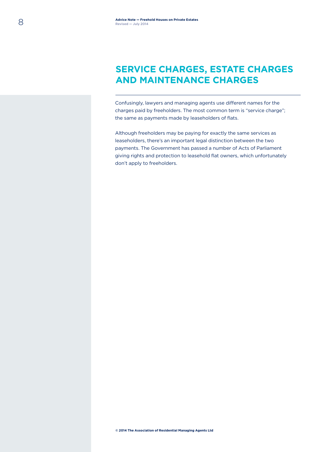# **SERVICE CHARGES, ESTATE CHARGES AND MAINTENANCE CHARGES**

Confusingly, lawyers and managing agents use different names for the charges paid by freeholders. The most common term is "service charge"; the same as payments made by leaseholders of flats.

Although freeholders may be paying for exactly the same services as leaseholders, there's an important legal distinction between the two payments. The Government has passed a number of Acts of Parliament giving rights and protection to leasehold flat owners, which unfortunately don't apply to freeholders.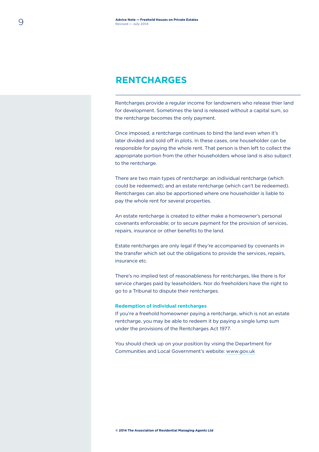### **RENTCHARGES**

Rentcharges provide a regular income for landowners who release thier land for development. Sometimes the land is released without a capital sum, so the rentcharge becomes the only payment.

Once imposed, a rentcharge continues to bind the land even when it's later divided and sold off in plots. In these cases, one householder can be responsible for paying the whole rent. That person is then left to collect the appropriate portion from the other householders whose land is also subject to the rentcharge.

There are two main types of rentcharge: an individual rentcharge (which could be redeemed); and an estate rentcharge (which can't be redeemed). Rentcharges can also be apportioned where one householder is liable to pay the whole rent for several properties.

An estate rentcharge is created to either make a homeowner's personal covenants enforceable; or to secure payment for the provision of services, repairs, insurance or other benefits to the land.

Estate rentcharges are only legal if they're accompanied by covenants in the transfer which set out the obligations to provide the services, repairs, insurance etc.

There's no implied test of reasonableness for rentcharges, like there is for service charges paid by leaseholders. Nor do freeholders have the right to go to a Tribunal to dispute their rentcharges.

#### **Redemption of individual rentcharges**

If you're a freehold homeowner paying a rentcharge, which is not an estate rentcharge, you may be able to redeem it by paying a single lump sum under the provisions of the Rentcharges Act 1977.

You should check up on your position by vising the Department for Communities and Local Government's website: [www.gov.uk](http://www.gov.uk)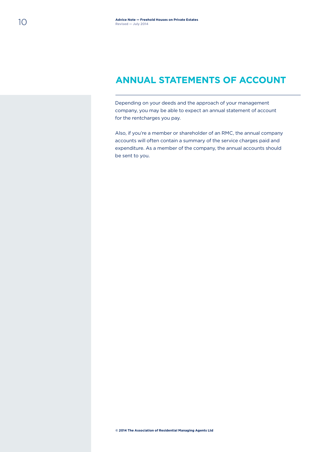### **ANNUAL STATEMENTS OF ACCOUNT**

Depending on your deeds and the approach of your management company, you may be able to expect an annual statement of account for the rentcharges you pay.

Also, if you're a member or shareholder of an RMC, the annual company accounts will often contain a summary of the service charges paid and expenditure. As a member of the company, the annual accounts should be sent to you.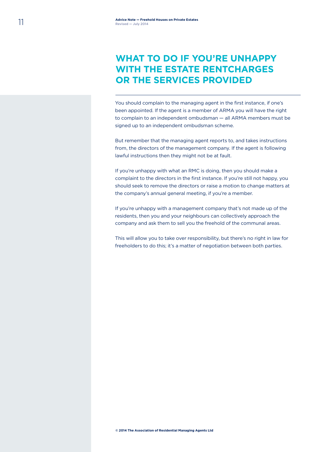# **WHAT TO DO IF YOU'RE UNHAPPY WITH THE ESTATE RENTCHARGES OR THE SERVICES PROVIDED**

You should complain to the managing agent in the first instance, if one's been appointed. If the agent is a member of ARMA you will have the right to complain to an independent ombudsman — all ARMA members must be signed up to an independent ombudsman scheme.

But remember that the managing agent reports to, and takes instructions from, the directors of the management company. If the agent is following lawful instructions then they might not be at fault.

If you're unhappy with what an RMC is doing, then you should make a complaint to the directors in the first instance. If you're still not happy, you should seek to remove the directors or raise a motion to change matters at the company's annual general meeting, if you're a member.

If you're unhappy with a management company that's not made up of the residents, then you and your neighbours can collectively approach the company and ask them to sell you the freehold of the communal areas.

This will allow you to take over responsibility, but there's no right in law for freeholders to do this; it's a matter of negotiation between both parties.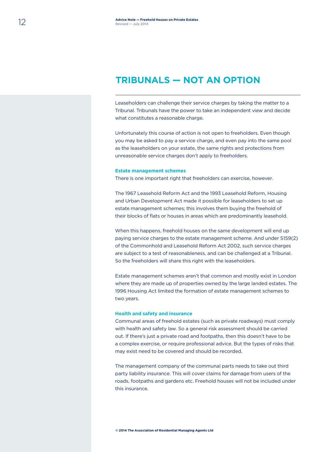### **TRIBUNALS — NOT AN OPTION**

Leaseholders can challenge their service charges by taking the matter to a Tribunal. Tribunals have the power to take an independent view and decide what constitutes a reasonable charge.

Unfortunately this course of action is not open to freeholders. Even though you may be asked to pay a service charge, and even pay into the same pool as the leaseholders on your estate, the same rights and protections from unreasonable service charges don't apply to freeholders.

#### **Estate management schemes**

There is one important right that freeholders can exercise, however.

The 1967 Leasehold Reform Act and the 1993 Leasehold Reform, Housing and Urban Development Act made it possible for leaseholders to set up estate management schemes; this involves them buying the freehold of their blocks of flats or houses in areas which are predominantly leasehold.

When this happens, freehold houses on the same development will end up paying service charges to the estate management scheme. And under S159(2) of the Commonhold and Leasehold Reform Act 2002, such service charges are subject to a test of reasonableness, and can be challenged at a Tribunal. So the freeholders will share this right with the leaseholders.

Estate management schemes aren't that common and mostly exist in London where they are made up of properties owned by the large landed estates. The 1996 Housing Act limited the formation of estate management schemes to two years.

#### **Health and safety and insurance**

Communal areas of freehold estates (such as private roadways) must comply with health and safety law. So a general risk assessment should be carried out. If there's just a private road and footpaths, then this doesn't have to be a complex exercise, or require professional advice. But the types of risks that may exist need to be covered and should be recorded.

The management company of the communal parts needs to take out third party liability insurance. This will cover claims for damage from users of the roads, footpaths and gardens etc. Freehold houses will not be included under this insurance.